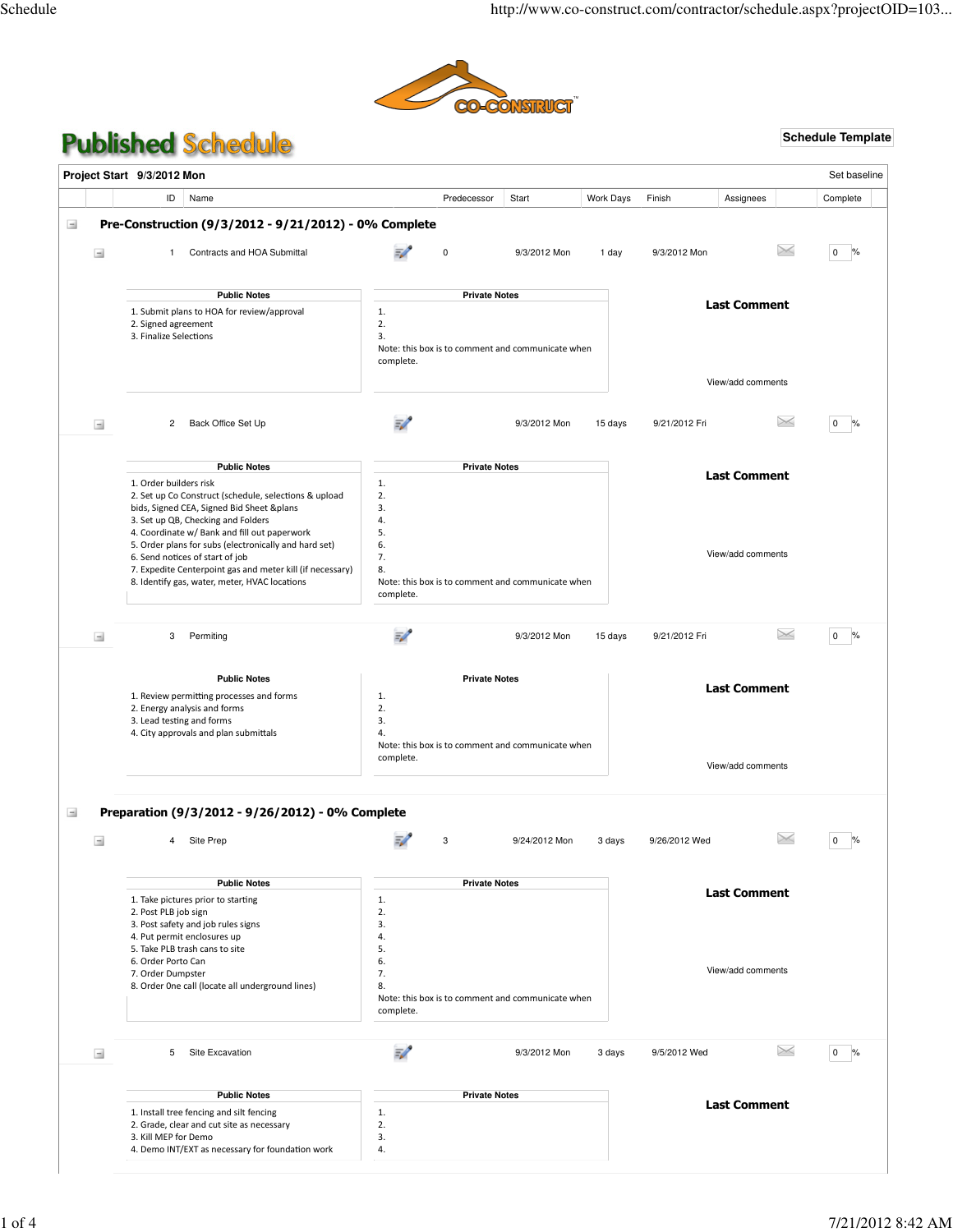

# **Published Schedule**

# **Schedule Template**

|               | Project Start 9/3/2012 Mon                                                                                                                                                                                                                                                                                                                                                                                                                          |                                                           |                      |                                                   |           |               |                                          | Set baseline         |
|---------------|-----------------------------------------------------------------------------------------------------------------------------------------------------------------------------------------------------------------------------------------------------------------------------------------------------------------------------------------------------------------------------------------------------------------------------------------------------|-----------------------------------------------------------|----------------------|---------------------------------------------------|-----------|---------------|------------------------------------------|----------------------|
|               | ID<br>Name                                                                                                                                                                                                                                                                                                                                                                                                                                          |                                                           | Predecessor          | Start                                             | Work Days | Finish        | Assignees                                | Complete             |
| $\rightarrow$ | Pre-Construction (9/3/2012 - 9/21/2012) - 0% Complete                                                                                                                                                                                                                                                                                                                                                                                               |                                                           |                      |                                                   |           |               |                                          |                      |
| $\pm$         | Contracts and HOA Submittal<br>1.                                                                                                                                                                                                                                                                                                                                                                                                                   |                                                           | $\mathbf 0$          | 9/3/2012 Mon                                      | 1 day     | 9/3/2012 Mon  | $\times$                                 | $\mathbf{0}$         |
|               | <b>Public Notes</b>                                                                                                                                                                                                                                                                                                                                                                                                                                 |                                                           | <b>Private Notes</b> |                                                   |           |               |                                          |                      |
|               | 1. Submit plans to HOA for review/approval<br>2. Signed agreement<br>3. Finalize Selections                                                                                                                                                                                                                                                                                                                                                         | 1.<br>2.<br>3.<br>complete.                               |                      | Note: this box is to comment and communicate when |           |               | <b>Last Comment</b>                      |                      |
|               |                                                                                                                                                                                                                                                                                                                                                                                                                                                     |                                                           |                      |                                                   |           |               | View/add comments                        |                      |
| $\rightarrow$ | Back Office Set Up<br>$\overline{2}$                                                                                                                                                                                                                                                                                                                                                                                                                | 57                                                        |                      | 9/3/2012 Mon                                      | 15 days   | 9/21/2012 Fri | $\times$                                 | $\mathbf{0}$<br>%    |
|               | <b>Public Notes</b><br>1. Order builders risk<br>2. Set up Co Construct (schedule, selections & upload<br>bids, Signed CEA, Signed Bid Sheet &plans<br>3. Set up QB, Checking and Folders<br>4. Coordinate w/ Bank and fill out paperwork<br>5. Order plans for subs (electronically and hard set)<br>6. Send notices of start of job<br>7. Expedite Centerpoint gas and meter kill (if necessary)<br>8. Identify gas, water, meter, HVAC locations | 1.<br>2.<br>3.<br>4.<br>5.<br>6.<br>7.<br>8.<br>complete. | <b>Private Notes</b> | Note: this box is to comment and communicate when |           |               | <b>Last Comment</b><br>View/add comments |                      |
| $\equiv$      | 3<br>Permiting                                                                                                                                                                                                                                                                                                                                                                                                                                      | 57                                                        |                      | 9/3/2012 Mon                                      | 15 days   | 9/21/2012 Fri | $\!\times\!$                             | $\mathbf{0}$<br>$\%$ |
|               | <b>Public Notes</b><br>1. Review permitting processes and forms<br>2. Energy analysis and forms<br>3. Lead testing and forms<br>4. City approvals and plan submittals                                                                                                                                                                                                                                                                               | 1.<br>2.<br>3.<br>4.                                      | <b>Private Notes</b> |                                                   |           |               | <b>Last Comment</b>                      |                      |
|               |                                                                                                                                                                                                                                                                                                                                                                                                                                                     | complete.                                                 |                      | Note: this box is to comment and communicate when |           |               | View/add comments                        |                      |

# $\pm$ Preparation (9/3/2012 - 9/26/2012) - 0% Complete

| $\frac{1}{2}$ | Site Prep<br>4                                                | 3                        | 9/24/2012 Mon<br>3 days                           | 9/26/2012 Wed |                      |
|---------------|---------------------------------------------------------------|--------------------------|---------------------------------------------------|---------------|----------------------|
|               | <b>Public Notes</b>                                           |                          | <b>Private Notes</b>                              |               |                      |
|               | 1. Take pictures prior to starting                            | 1.                       |                                                   |               | <b>Last Comment</b>  |
|               | 2. Post PLB job sign                                          | 2.                       |                                                   |               |                      |
|               | 3. Post safety and job rules signs                            | 3.                       |                                                   |               |                      |
|               | 4. Put permit enclosures up<br>5. Take PLB trash cans to site | 4.                       |                                                   |               |                      |
|               | 6. Order Porto Can                                            | 5.<br>6.                 |                                                   |               |                      |
|               | 7. Order Dumpster                                             | 7.                       |                                                   |               | View/add comments    |
|               | 8. Order One call (locate all underground lines)              | 8.                       |                                                   |               |                      |
|               |                                                               |                          | Note: this box is to comment and communicate when |               |                      |
|               |                                                               | complete.                |                                                   |               |                      |
| $\pm$         | 5<br>Site Excavation                                          | $\overline{\mathscr{L}}$ | 9/3/2012 Mon<br>3 days                            | 9/5/2012 Wed  | $\times$<br>$\Omega$ |
|               |                                                               |                          |                                                   |               |                      |
|               | <b>Public Notes</b>                                           |                          | <b>Private Notes</b>                              |               |                      |
|               | 1. Install tree fencing and silt fencing                      | 1.                       |                                                   |               | <b>Last Comment</b>  |
|               | 2. Grade, clear and cut site as necessary                     | 2.                       |                                                   |               |                      |
|               | 3. Kill MFP for Demo                                          | 3.                       |                                                   |               |                      |
|               | 4. Demo INT/EXT as necessary for foundation work              | 4.                       |                                                   |               |                      |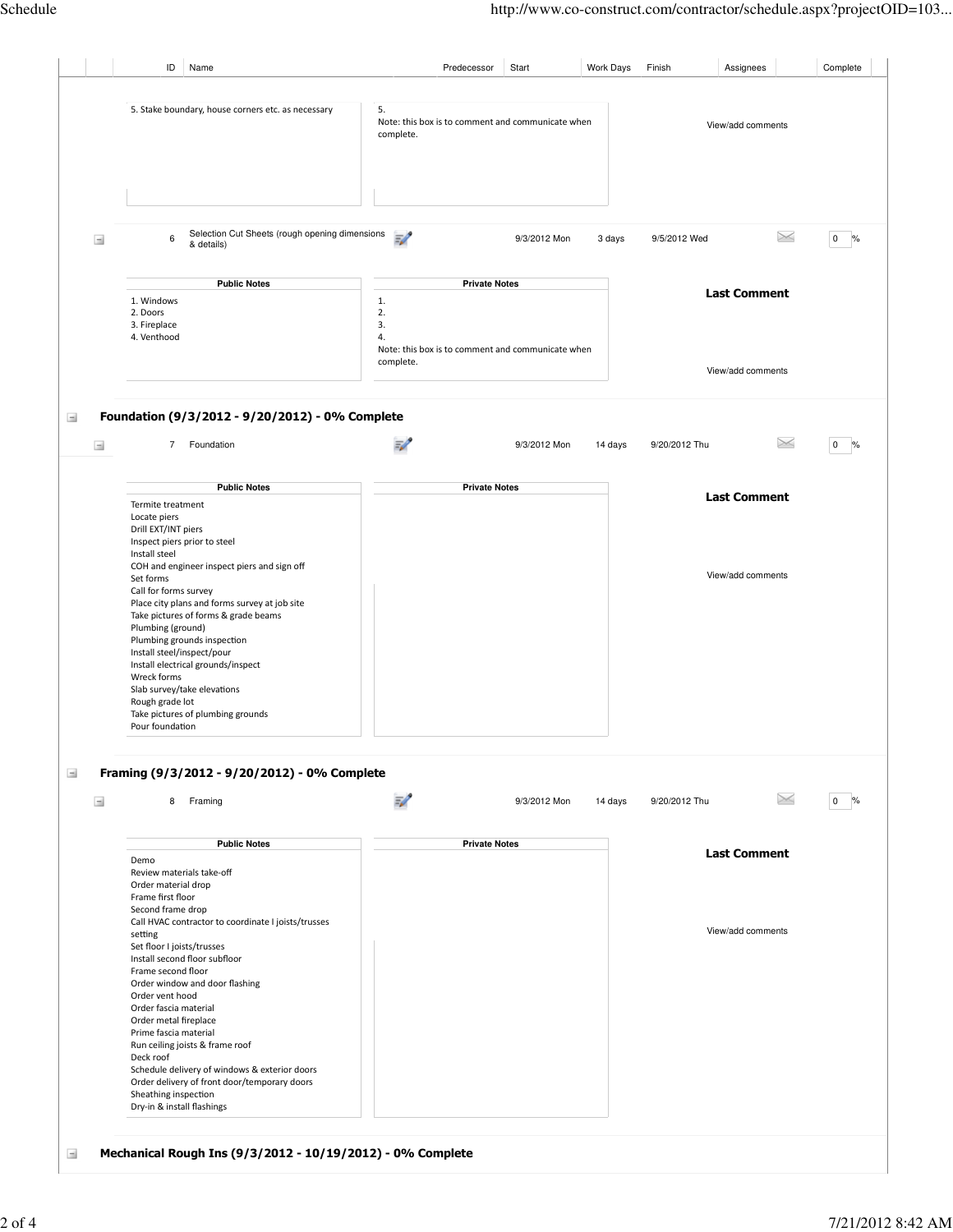|                        | ID<br>Name                                                                                                                                               | Predecessor<br>Start                                                      | <b>Work Days</b><br>Finish | Assignees           | Complete               |
|------------------------|----------------------------------------------------------------------------------------------------------------------------------------------------------|---------------------------------------------------------------------------|----------------------------|---------------------|------------------------|
|                        |                                                                                                                                                          |                                                                           |                            |                     |                        |
|                        | 5. Stake boundary, house corners etc. as necessary                                                                                                       | 5.<br>Note: this box is to comment and communicate when<br>complete.      |                            | View/add comments   |                        |
| $\equiv$               | Selection Cut Sheets (rough opening dimensions<br>$\boldsymbol{6}$<br>& details)                                                                         | $\mathcal{P}$<br>9/3/2012 Mon                                             | 3 days<br>9/5/2012 Wed     | $\times$            | $0\%$                  |
|                        | <b>Public Notes</b>                                                                                                                                      | <b>Private Notes</b>                                                      |                            |                     |                        |
|                        | 1. Windows<br>2. Doors<br>3. Fireplace<br>4. Venthood                                                                                                    | 1.<br>2.<br>3.<br>4.<br>Note: this box is to comment and communicate when |                            | <b>Last Comment</b> |                        |
|                        |                                                                                                                                                          | complete.                                                                 |                            | View/add comments   |                        |
| $\rightarrow$<br>$\pm$ | Foundation (9/3/2012 - 9/20/2012) - 0% Complete<br>$\overline{7}$<br>Foundation                                                                          | 9/3/2012 Mon                                                              | 14 days<br>9/20/2012 Thu   | $\times$            | $\overline{0}$<br>$\%$ |
|                        | <b>Public Notes</b>                                                                                                                                      | <b>Private Notes</b>                                                      |                            |                     |                        |
|                        | Termite treatment<br>Locate piers<br>Drill EXT/INT piers<br>Inspect piers prior to steel<br>Install steel<br>COH and engineer inspect piers and sign off |                                                                           |                            | <b>Last Comment</b> |                        |
|                        | Set forms<br>Call for forms survey                                                                                                                       |                                                                           |                            | View/add comments   |                        |

# Framing (9/3/2012 - 9/20/2012) - 0% Complete  $\pm$

| Framing<br>8                                        | 9/3/2012 Mon         | 14 days | 9/20/2012 Thu |                     | 0<br>$\%$ |
|-----------------------------------------------------|----------------------|---------|---------------|---------------------|-----------|
| <b>Public Notes</b>                                 | <b>Private Notes</b> |         |               |                     |           |
| Demo                                                |                      |         |               | <b>Last Comment</b> |           |
| Review materials take-off                           |                      |         |               |                     |           |
| Order material drop                                 |                      |         |               |                     |           |
| Frame first floor                                   |                      |         |               |                     |           |
| Second frame drop                                   |                      |         |               |                     |           |
| Call HVAC contractor to coordinate I joists/trusses |                      |         |               |                     |           |
| setting                                             |                      |         |               | View/add comments   |           |
| Set floor I joists/trusses                          |                      |         |               |                     |           |
| Install second floor subfloor                       |                      |         |               |                     |           |
| Frame second floor                                  |                      |         |               |                     |           |
| Order window and door flashing                      |                      |         |               |                     |           |
| Order vent hood                                     |                      |         |               |                     |           |
| Order fascia material                               |                      |         |               |                     |           |
| Order metal fireplace                               |                      |         |               |                     |           |
| Prime fascia material                               |                      |         |               |                     |           |
| Run ceiling joists & frame roof                     |                      |         |               |                     |           |
| Deck roof                                           |                      |         |               |                     |           |
| Schedule delivery of windows & exterior doors       |                      |         |               |                     |           |
| Order delivery of front door/temporary doors        |                      |         |               |                     |           |
| Sheathing inspection                                |                      |         |               |                     |           |
| Dry-in & install flashings                          |                      |         |               |                     |           |

### Mechanical Rough Ins (9/3/2012 - 10/19/2012) - 0% Complete  $\pm$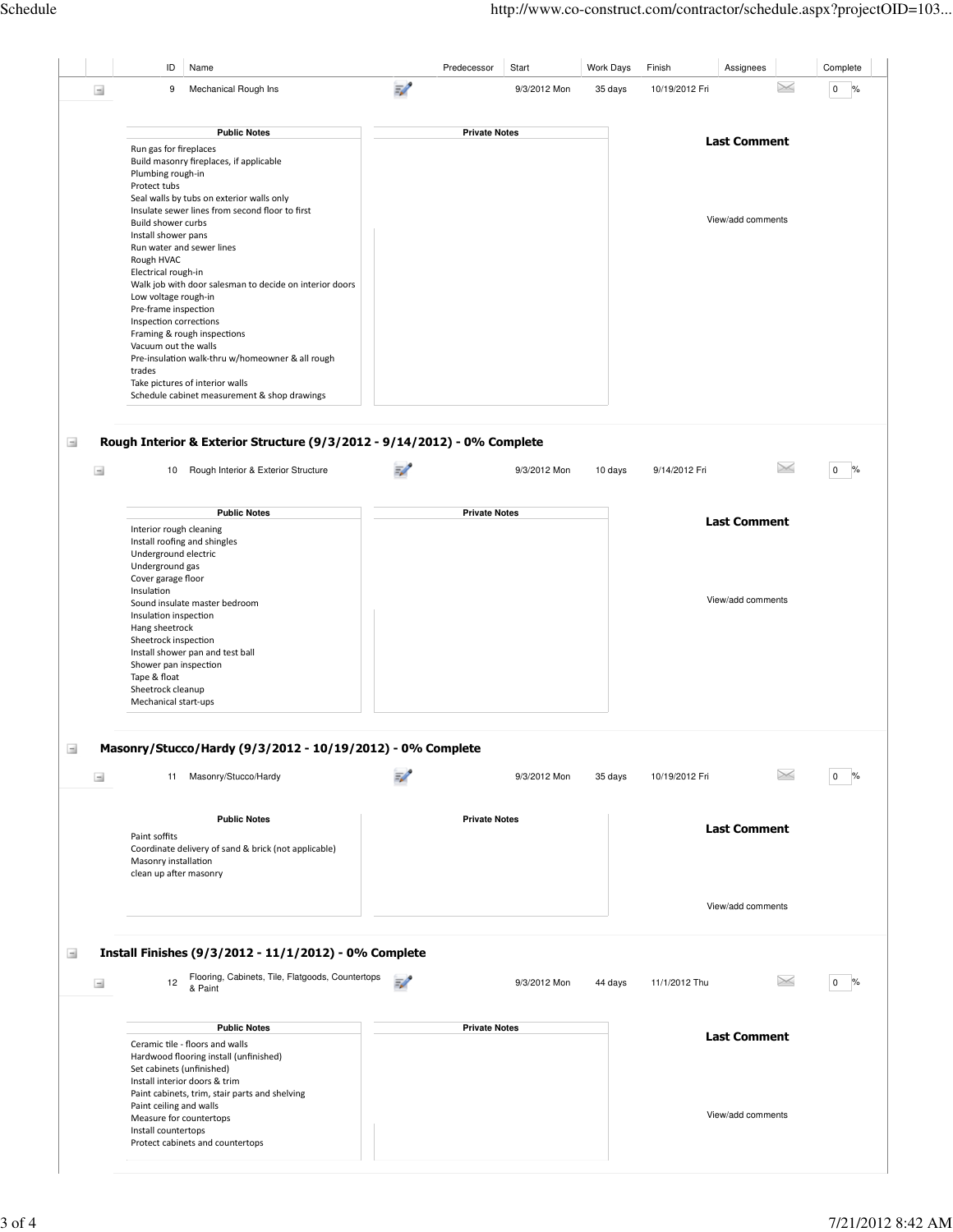|          | ID                        | Name                                                    |                          | Predecessor          | Start        | Work Days | Finish         | Assignees           | Complete            |
|----------|---------------------------|---------------------------------------------------------|--------------------------|----------------------|--------------|-----------|----------------|---------------------|---------------------|
| $\equiv$ | 9                         | Mechanical Rough Ins                                    | $\overline{\mathscr{L}}$ |                      | 9/3/2012 Mon | 35 days   | 10/19/2012 Fri | $\times$            | $\%$<br>$\mathbf 0$ |
|          |                           |                                                         |                          |                      |              |           |                |                     |                     |
|          |                           |                                                         |                          |                      |              |           |                |                     |                     |
|          |                           | <b>Public Notes</b>                                     |                          | <b>Private Notes</b> |              |           |                | <b>Last Comment</b> |                     |
|          | Run gas for fireplaces    |                                                         |                          |                      |              |           |                |                     |                     |
|          |                           | Build masonry fireplaces, if applicable                 |                          |                      |              |           |                |                     |                     |
|          | Plumbing rough-in         |                                                         |                          |                      |              |           |                |                     |                     |
|          | Protect tubs              |                                                         |                          |                      |              |           |                |                     |                     |
|          |                           | Seal walls by tubs on exterior walls only               |                          |                      |              |           |                |                     |                     |
|          |                           | Insulate sewer lines from second floor to first         |                          |                      |              |           |                |                     |                     |
|          | <b>Build shower curbs</b> |                                                         |                          |                      |              |           |                | View/add comments   |                     |
|          | Install shower pans       |                                                         |                          |                      |              |           |                |                     |                     |
|          |                           | Run water and sewer lines                               |                          |                      |              |           |                |                     |                     |
|          | Rough HVAC                |                                                         |                          |                      |              |           |                |                     |                     |
|          | Electrical rough-in       |                                                         |                          |                      |              |           |                |                     |                     |
|          |                           | Walk job with door salesman to decide on interior doors |                          |                      |              |           |                |                     |                     |
|          | Low voltage rough-in      |                                                         |                          |                      |              |           |                |                     |                     |
|          | Pre-frame inspection      |                                                         |                          |                      |              |           |                |                     |                     |
|          | Inspection corrections    |                                                         |                          |                      |              |           |                |                     |                     |
|          |                           | Framing & rough inspections                             |                          |                      |              |           |                |                     |                     |
|          | Vacuum out the walls      |                                                         |                          |                      |              |           |                |                     |                     |
|          |                           | Pre-insulation walk-thru w/homeowner & all rough        |                          |                      |              |           |                |                     |                     |
|          | trades                    |                                                         |                          |                      |              |           |                |                     |                     |
|          |                           | Take pictures of interior walls                         |                          |                      |              |           |                |                     |                     |
|          |                           | Schedule cabinet measurement & shop drawings            |                          |                      |              |           |                |                     |                     |

#### Rough Interior & Exterior Structure (9/3/2012 - 9/14/2012) - 0% Complete  $\equiv$

| Rough Interior & Exterior Structure<br>10 | 9/3/2012 Mon         | 10 days | 9/14/2012 Fri |                     | $\Omega$ |
|-------------------------------------------|----------------------|---------|---------------|---------------------|----------|
| <b>Public Notes</b>                       | <b>Private Notes</b> |         |               |                     |          |
| Interior rough cleaning                   |                      |         |               | <b>Last Comment</b> |          |
| Install roofing and shingles              |                      |         |               |                     |          |
| Underground electric                      |                      |         |               |                     |          |
| Underground gas                           |                      |         |               |                     |          |
| Cover garage floor                        |                      |         |               |                     |          |
| Insulation                                |                      |         |               |                     |          |
| Sound insulate master bedroom             |                      |         |               | View/add comments   |          |
| Insulation inspection                     |                      |         |               |                     |          |
| Hang sheetrock                            |                      |         |               |                     |          |
| Sheetrock inspection                      |                      |         |               |                     |          |
| Install shower pan and test ball          |                      |         |               |                     |          |
| Shower pan inspection                     |                      |         |               |                     |          |
| Tape & float                              |                      |         |               |                     |          |
| Sheetrock cleanup                         |                      |         |               |                     |          |
| Mechanical start-ups                      |                      |         |               |                     |          |

### Masonry/Stucco/Hardy (9/3/2012 - 10/19/2012) - 0% Complete  $\rightarrow$

Install countertops Protect cabinets and countertops

| $\rightarrow$     | Masonry/Stucco/Hardy<br>11                                                                                                                     | $\Rightarrow$ | 9/3/2012 Mon         | 35 days | 10/19/2012 Fri |                     | 0<br>$\%$              |
|-------------------|------------------------------------------------------------------------------------------------------------------------------------------------|---------------|----------------------|---------|----------------|---------------------|------------------------|
|                   | <b>Public Notes</b><br>Paint soffits<br>Coordinate delivery of sand & brick (not applicable)<br>Masonry installation<br>clean up after masonry |               | <b>Private Notes</b> |         |                | <b>Last Comment</b> |                        |
|                   |                                                                                                                                                |               |                      |         |                | View/add comments   |                        |
| $\pm$<br>$\equiv$ | Install Finishes (9/3/2012 - 11/1/2012) - 0% Complete<br>Flooring, Cabinets, Tile, Flatgoods, Countertops<br>12<br>& Paint                     | $\Rightarrow$ | 9/3/2012 Mon         | 44 days | 11/1/2012 Thu  | $\times$            | $\overline{0}$<br>$\%$ |
|                   | <b>Public Notes</b><br>Ceramic tile - floors and walls<br>Hardwood flooring install (unfinished)<br>Set cabinets (unfinished)                  |               | <b>Private Notes</b> |         |                | <b>Last Comment</b> |                        |
|                   | Install interior doors & trim<br>Paint cabinets, trim, stair parts and shelving<br>Paint ceiling and walls<br>Measure for countertops          |               |                      |         |                | View/add comments   |                        |